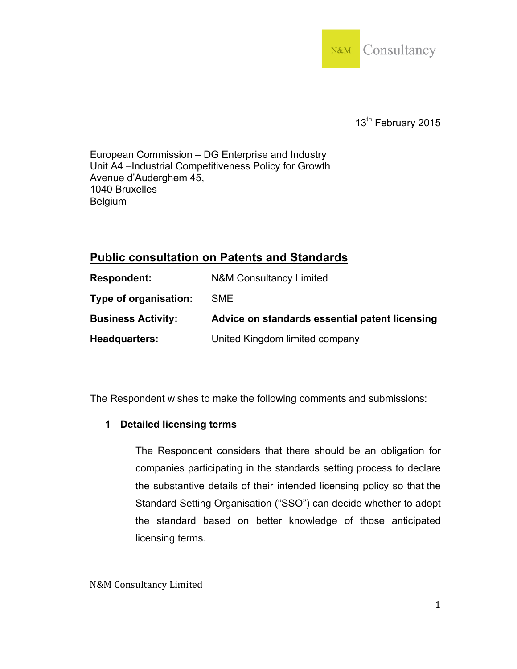

13<sup>th</sup> February 2015

European Commission – DG Enterprise and Industry Unit A4 –Industrial Competitiveness Policy for Growth Avenue d'Auderghem 45, 1040 Bruxelles Belgium

## **Public consultation on Patents and Standards**

| <b>Respondent:</b>        | <b>N&amp;M Consultancy Limited</b>             |
|---------------------------|------------------------------------------------|
| Type of organisation:     | <b>SME</b>                                     |
| <b>Business Activity:</b> | Advice on standards essential patent licensing |
| Headquarters:             | United Kingdom limited company                 |

The Respondent wishes to make the following comments and submissions:

## **1 Detailed licensing terms**

The Respondent considers that there should be an obligation for companies participating in the standards setting process to declare the substantive details of their intended licensing policy so that the Standard Setting Organisation ("SSO") can decide whether to adopt the standard based on better knowledge of those anticipated licensing terms.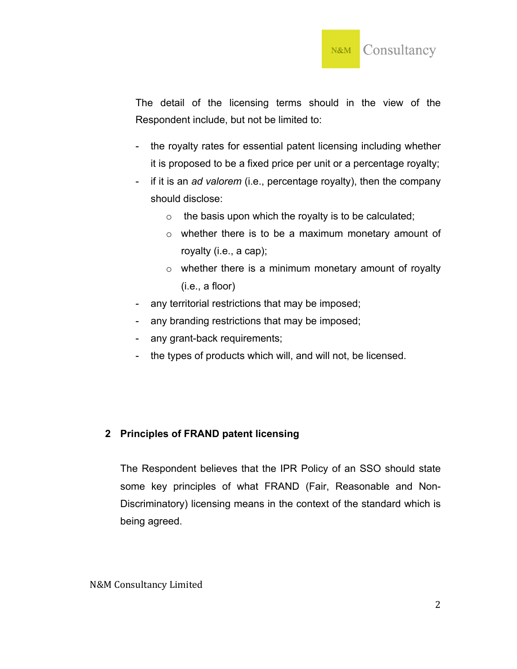

The detail of the licensing terms should in the view of the Respondent include, but not be limited to:

- the royalty rates for essential patent licensing including whether it is proposed to be a fixed price per unit or a percentage royalty;
- if it is an *ad valorem* (i.e., percentage royalty), then the company should disclose:
	- $\circ$  the basis upon which the royalty is to be calculated;
	- o whether there is to be a maximum monetary amount of royalty (i.e., a cap);
	- o whether there is a minimum monetary amount of royalty (i.e., a floor)
- any territorial restrictions that may be imposed;
- any branding restrictions that may be imposed;
- any grant-back requirements;
- the types of products which will, and will not, be licensed.

## **2 Principles of FRAND patent licensing**

The Respondent believes that the IPR Policy of an SSO should state some key principles of what FRAND (Fair, Reasonable and Non-Discriminatory) licensing means in the context of the standard which is being agreed.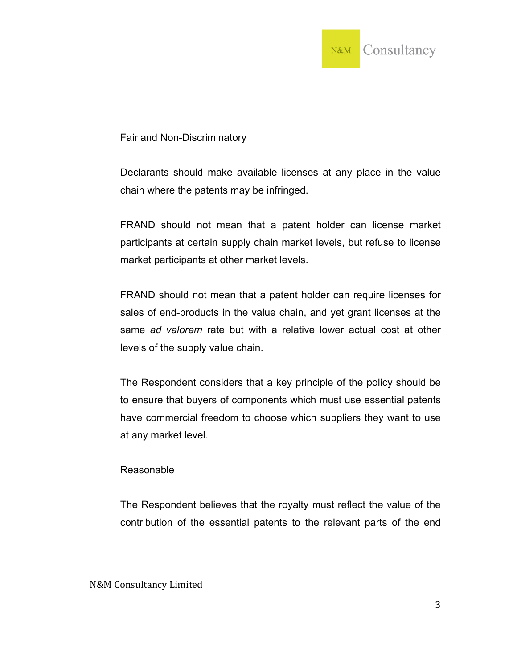

## Fair and Non-Discriminatory

Declarants should make available licenses at any place in the value chain where the patents may be infringed.

FRAND should not mean that a patent holder can license market participants at certain supply chain market levels, but refuse to license market participants at other market levels.

FRAND should not mean that a patent holder can require licenses for sales of end-products in the value chain, and yet grant licenses at the same *ad valorem* rate but with a relative lower actual cost at other levels of the supply value chain.

The Respondent considers that a key principle of the policy should be to ensure that buyers of components which must use essential patents have commercial freedom to choose which suppliers they want to use at any market level.

## Reasonable

The Respondent believes that the royalty must reflect the value of the contribution of the essential patents to the relevant parts of the end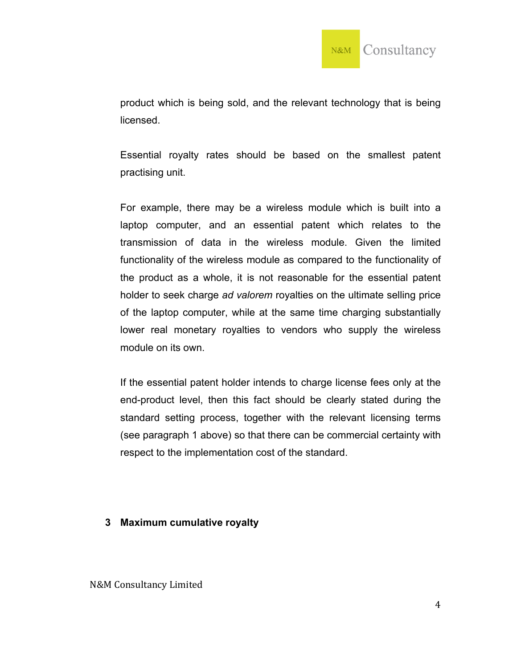

product which is being sold, and the relevant technology that is being licensed.

Essential royalty rates should be based on the smallest patent practising unit.

For example, there may be a wireless module which is built into a laptop computer, and an essential patent which relates to the transmission of data in the wireless module. Given the limited functionality of the wireless module as compared to the functionality of the product as a whole, it is not reasonable for the essential patent holder to seek charge *ad valorem* royalties on the ultimate selling price of the laptop computer, while at the same time charging substantially lower real monetary royalties to vendors who supply the wireless module on its own.

If the essential patent holder intends to charge license fees only at the end-product level, then this fact should be clearly stated during the standard setting process, together with the relevant licensing terms (see paragraph 1 above) so that there can be commercial certainty with respect to the implementation cost of the standard.

#### **3 Maximum cumulative royalty**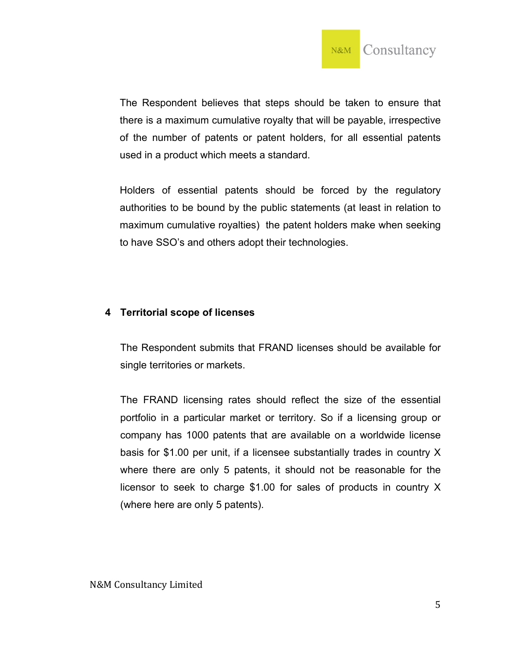

The Respondent believes that steps should be taken to ensure that there is a maximum cumulative royalty that will be payable, irrespective of the number of patents or patent holders, for all essential patents used in a product which meets a standard.

Holders of essential patents should be forced by the regulatory authorities to be bound by the public statements (at least in relation to maximum cumulative royalties) the patent holders make when seeking to have SSO's and others adopt their technologies.

## **4 Territorial scope of licenses**

The Respondent submits that FRAND licenses should be available for single territories or markets.

The FRAND licensing rates should reflect the size of the essential portfolio in a particular market or territory. So if a licensing group or company has 1000 patents that are available on a worldwide license basis for \$1.00 per unit, if a licensee substantially trades in country X where there are only 5 patents, it should not be reasonable for the licensor to seek to charge \$1.00 for sales of products in country X (where here are only 5 patents).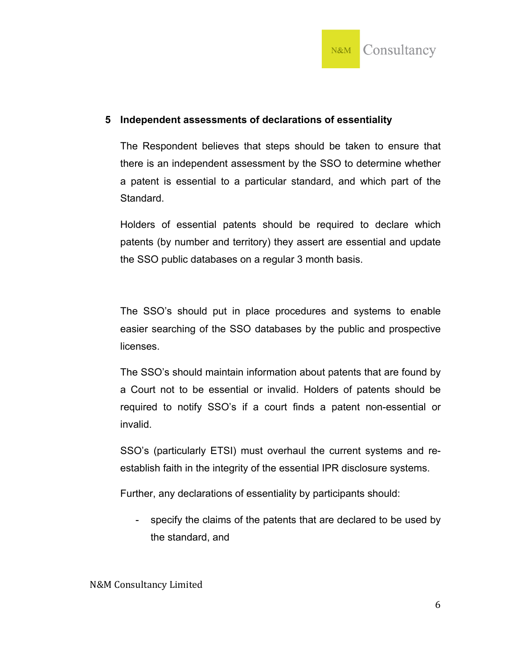

#### **5 Independent assessments of declarations of essentiality**

The Respondent believes that steps should be taken to ensure that there is an independent assessment by the SSO to determine whether a patent is essential to a particular standard, and which part of the Standard.

Holders of essential patents should be required to declare which patents (by number and territory) they assert are essential and update the SSO public databases on a regular 3 month basis.

The SSO's should put in place procedures and systems to enable easier searching of the SSO databases by the public and prospective licenses.

The SSO's should maintain information about patents that are found by a Court not to be essential or invalid. Holders of patents should be required to notify SSO's if a court finds a patent non-essential or invalid.

SSO's (particularly ETSI) must overhaul the current systems and reestablish faith in the integrity of the essential IPR disclosure systems.

Further, any declarations of essentiality by participants should:

- specify the claims of the patents that are declared to be used by the standard, and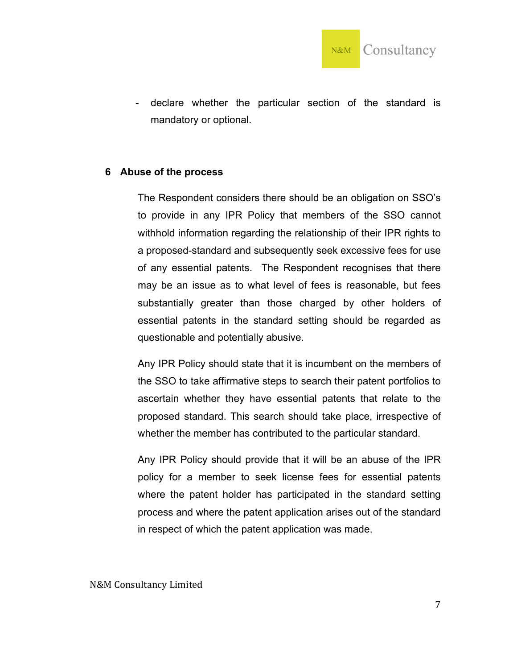

- declare whether the particular section of the standard is mandatory or optional.

#### **6 Abuse of the process**

The Respondent considers there should be an obligation on SSO's to provide in any IPR Policy that members of the SSO cannot withhold information regarding the relationship of their IPR rights to a proposed-standard and subsequently seek excessive fees for use of any essential patents. The Respondent recognises that there may be an issue as to what level of fees is reasonable, but fees substantially greater than those charged by other holders of essential patents in the standard setting should be regarded as questionable and potentially abusive.

Any IPR Policy should state that it is incumbent on the members of the SSO to take affirmative steps to search their patent portfolios to ascertain whether they have essential patents that relate to the proposed standard. This search should take place, irrespective of whether the member has contributed to the particular standard.

Any IPR Policy should provide that it will be an abuse of the IPR policy for a member to seek license fees for essential patents where the patent holder has participated in the standard setting process and where the patent application arises out of the standard in respect of which the patent application was made.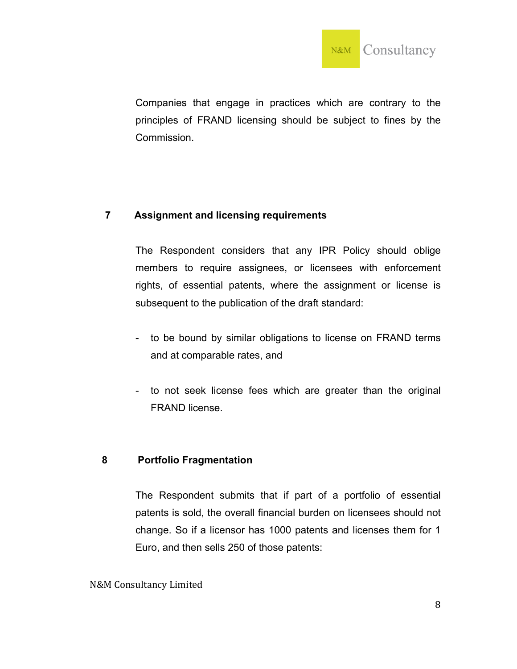

Companies that engage in practices which are contrary to the principles of FRAND licensing should be subject to fines by the Commission.

## **7 Assignment and licensing requirements**

The Respondent considers that any IPR Policy should oblige members to require assignees, or licensees with enforcement rights, of essential patents, where the assignment or license is subsequent to the publication of the draft standard:

- to be bound by similar obligations to license on FRAND terms and at comparable rates, and
- to not seek license fees which are greater than the original FRAND license.

## **8 Portfolio Fragmentation**

The Respondent submits that if part of a portfolio of essential patents is sold, the overall financial burden on licensees should not change. So if a licensor has 1000 patents and licenses them for 1 Euro, and then sells 250 of those patents: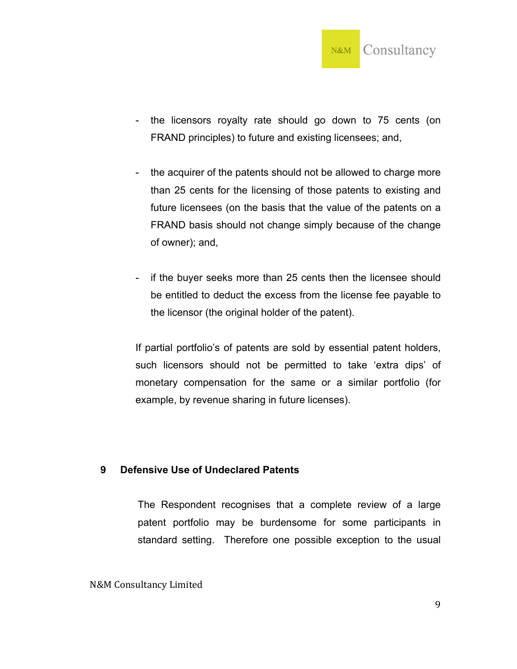

- the licensors royalty rate should go down to 75 cents (on FRAND principles) to future and existing licensees; and,
- the acquirer of the patents should not be allowed to charge more than 25 cents for the licensing of those patents to existing and future licensees (on the basis that the value of the patents on a FRAND basis should not change simply because of the change of owner); and,
- if the buyer seeks more than 25 cents then the licensee should be entitled to deduct the excess from the license fee payable to the licensor (the original holder of the patent).

If partial portfolio's of patents are sold by essential patent holders, such licensors should not be permitted to take 'extra dips' of monetary compensation for the same or a similar portfolio (for example, by revenue sharing in future licenses).

## **9 Defensive Use of Undeclared Patents**

The Respondent recognises that a complete review of a large patent portfolio may be burdensome for some participants in standard setting. Therefore one possible exception to the usual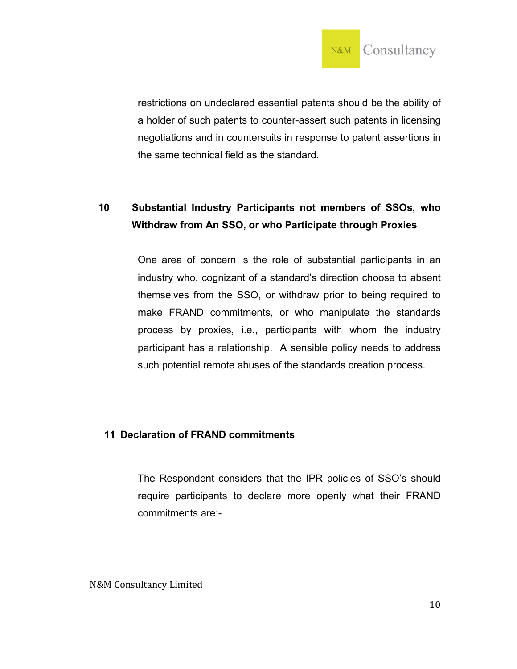

restrictions on undeclared essential patents should be the ability of a holder of such patents to counter-assert such patents in licensing negotiations and in countersuits in response to patent assertions in the same technical field as the standard.

# **10 Substantial Industry Participants not members of SSOs, who Withdraw from An SSO, or who Participate through Proxies**

One area of concern is the role of substantial participants in an industry who, cognizant of a standard's direction choose to absent themselves from the SSO, or withdraw prior to being required to make FRAND commitments, or who manipulate the standards process by proxies, i.e., participants with whom the industry participant has a relationship. A sensible policy needs to address such potential remote abuses of the standards creation process.

## **11 Declaration of FRAND commitments**

The Respondent considers that the IPR policies of SSO's should require participants to declare more openly what their FRAND commitments are:-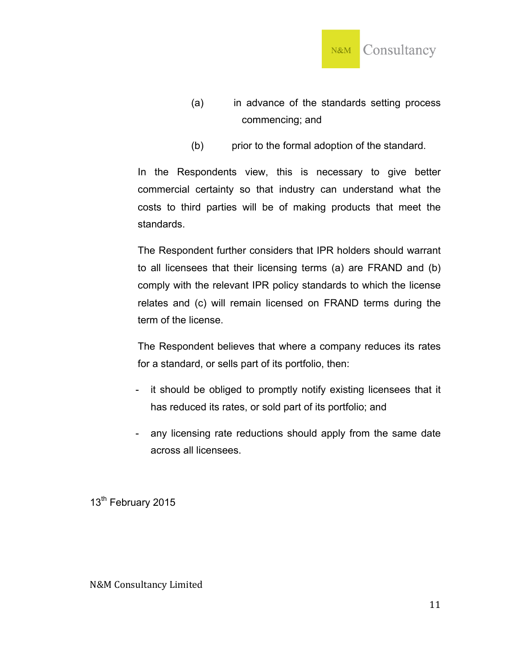

- (a) in advance of the standards setting process commencing; and
- (b) prior to the formal adoption of the standard.

In the Respondents view, this is necessary to give better commercial certainty so that industry can understand what the costs to third parties will be of making products that meet the standards.

The Respondent further considers that IPR holders should warrant to all licensees that their licensing terms (a) are FRAND and (b) comply with the relevant IPR policy standards to which the license relates and (c) will remain licensed on FRAND terms during the term of the license.

The Respondent believes that where a company reduces its rates for a standard, or sells part of its portfolio, then:

- it should be obliged to promptly notify existing licensees that it has reduced its rates, or sold part of its portfolio; and
- any licensing rate reductions should apply from the same date across all licensees.

13<sup>th</sup> February 2015